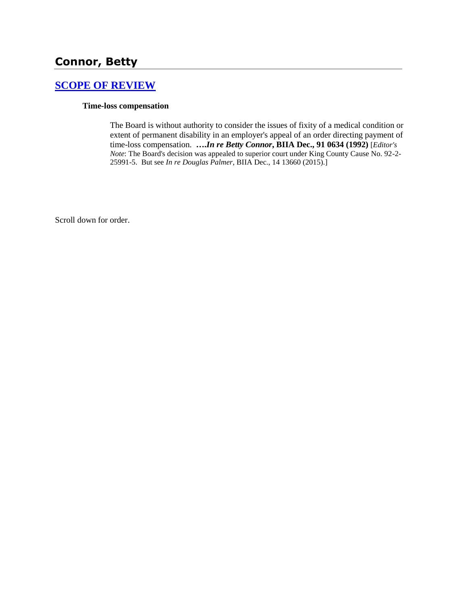# **Connor, Betty**

### **[SCOPE OF REVIEW](http://www.biia.wa.gov/SDSubjectIndex.html#SCOPE_OF_REVIEW)**

### **Time-loss compensation**

The Board is without authority to consider the issues of fixity of a medical condition or extent of permanent disability in an employer's appeal of an order directing payment of time-loss compensation. **….***In re Betty Connor***, BIIA Dec., 91 0634 (1992)** [*Editor's Note*: The Board's decision was appealed to superior court under King County Cause No. 92-2- 25991-5. But see *In re Douglas Palmer,* BIIA Dec., 14 13660 (2015).]

Scroll down for order.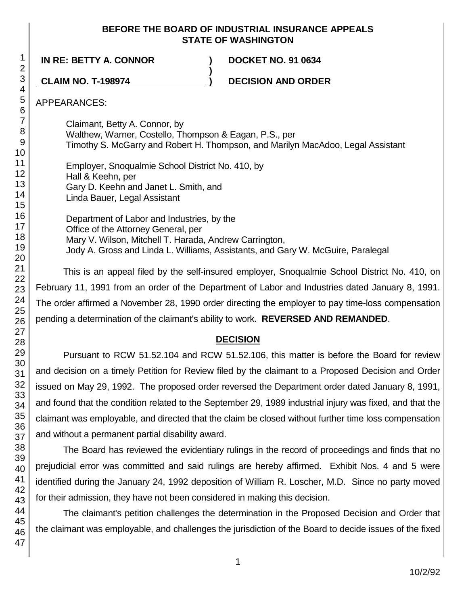### **BEFORE THE BOARD OF INDUSTRIAL INSURANCE APPEALS STATE OF WASHINGTON**

**)**

**IN RE: BETTY A. CONNOR ) DOCKET NO. 91 0634**

**CLAIM NO. T-198974 ) DECISION AND ORDER**

APPEARANCES:

Claimant, Betty A. Connor, by Walthew, Warner, Costello, Thompson & Eagan, P.S., per Timothy S. McGarry and Robert H. Thompson, and Marilyn MacAdoo, Legal Assistant

Employer, Snoqualmie School District No. 410, by Hall & Keehn, per Gary D. Keehn and Janet L. Smith, and Linda Bauer, Legal Assistant

Department of Labor and Industries, by the Office of the Attorney General, per Mary V. Wilson, Mitchell T. Harada, Andrew Carrington, Jody A. Gross and Linda L. Williams, Assistants, and Gary W. McGuire, Paralegal

This is an appeal filed by the self-insured employer, Snoqualmie School District No. 410, on February 11, 1991 from an order of the Department of Labor and Industries dated January 8, 1991. The order affirmed a November 28, 1990 order directing the employer to pay time-loss compensation pending a determination of the claimant's ability to work. **REVERSED AND REMANDED**.

## **DECISION**

Pursuant to RCW 51.52.104 and RCW 51.52.106, this matter is before the Board for review and decision on a timely Petition for Review filed by the claimant to a Proposed Decision and Order issued on May 29, 1992. The proposed order reversed the Department order dated January 8, 1991, and found that the condition related to the September 29, 1989 industrial injury was fixed, and that the claimant was employable, and directed that the claim be closed without further time loss compensation and without a permanent partial disability award.

The Board has reviewed the evidentiary rulings in the record of proceedings and finds that no prejudicial error was committed and said rulings are hereby affirmed. Exhibit Nos. 4 and 5 were identified during the January 24, 1992 deposition of William R. Loscher, M.D. Since no party moved for their admission, they have not been considered in making this decision.

The claimant's petition challenges the determination in the Proposed Decision and Order that the claimant was employable, and challenges the jurisdiction of the Board to decide issues of the fixed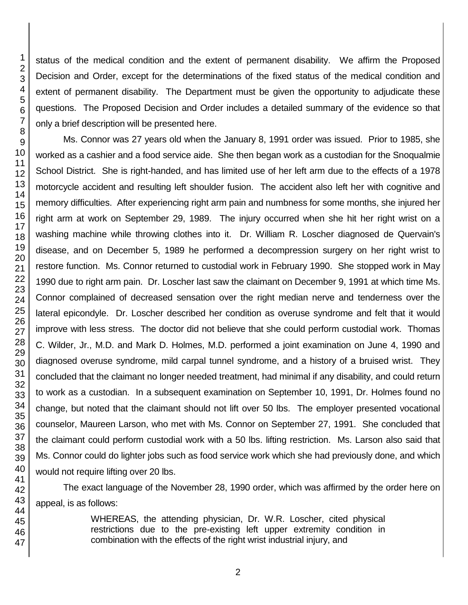1 2 3 4 5 6 7 8 9 10 11 12 13 14 status of the medical condition and the extent of permanent disability. We affirm the Proposed Decision and Order, except for the determinations of the fixed status of the medical condition and extent of permanent disability. The Department must be given the opportunity to adjudicate these questions. The Proposed Decision and Order includes a detailed summary of the evidence so that only a brief description will be presented here. Ms. Connor was 27 years old when the January 8, 1991 order was issued. Prior to 1985, she worked as a cashier and a food service aide. She then began work as a custodian for the Snoqualmie School District. She is right-handed, and has limited use of her left arm due to the effects of a 1978

motorcycle accident and resulting left shoulder fusion. The accident also left her with cognitive and memory difficulties. After experiencing right arm pain and numbness for some months, she injured her right arm at work on September 29, 1989. The injury occurred when she hit her right wrist on a washing machine while throwing clothes into it. Dr. William R. Loscher diagnosed de Quervain's disease, and on December 5, 1989 he performed a decompression surgery on her right wrist to restore function. Ms. Connor returned to custodial work in February 1990. She stopped work in May 1990 due to right arm pain. Dr. Loscher last saw the claimant on December 9, 1991 at which time Ms. Connor complained of decreased sensation over the right median nerve and tenderness over the lateral epicondyle. Dr. Loscher described her condition as overuse syndrome and felt that it would improve with less stress. The doctor did not believe that she could perform custodial work. Thomas C. Wilder, Jr., M.D. and Mark D. Holmes, M.D. performed a joint examination on June 4, 1990 and diagnosed overuse syndrome, mild carpal tunnel syndrome, and a history of a bruised wrist. They concluded that the claimant no longer needed treatment, had minimal if any disability, and could return to work as a custodian. In a subsequent examination on September 10, 1991, Dr. Holmes found no change, but noted that the claimant should not lift over 50 lbs. The employer presented vocational counselor, Maureen Larson, who met with Ms. Connor on September 27, 1991. She concluded that the claimant could perform custodial work with a 50 lbs. lifting restriction. Ms. Larson also said that Ms. Connor could do lighter jobs such as food service work which she had previously done, and which would not require lifting over 20 lbs.

The exact language of the November 28, 1990 order, which was affirmed by the order here on appeal, is as follows:

> WHEREAS, the attending physician, Dr. W.R. Loscher, cited physical restrictions due to the pre-existing left upper extremity condition in combination with the effects of the right wrist industrial injury, and

47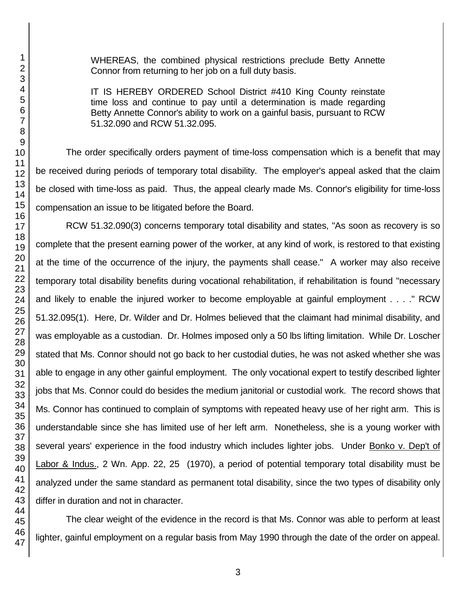WHEREAS, the combined physical restrictions preclude Betty Annette Connor from returning to her job on a full duty basis.

IT IS HEREBY ORDERED School District #410 King County reinstate time loss and continue to pay until a determination is made regarding Betty Annette Connor's ability to work on a gainful basis, pursuant to RCW 51.32.090 and RCW 51.32.095.

The order specifically orders payment of time-loss compensation which is a benefit that may be received during periods of temporary total disability. The employer's appeal asked that the claim be closed with time-loss as paid. Thus, the appeal clearly made Ms. Connor's eligibility for time-loss compensation an issue to be litigated before the Board.

RCW 51.32.090(3) concerns temporary total disability and states, "As soon as recovery is so complete that the present earning power of the worker, at any kind of work, is restored to that existing at the time of the occurrence of the injury, the payments shall cease." A worker may also receive temporary total disability benefits during vocational rehabilitation, if rehabilitation is found "necessary and likely to enable the injured worker to become employable at gainful employment . . . ." RCW 51.32.095(1). Here, Dr. Wilder and Dr. Holmes believed that the claimant had minimal disability, and was employable as a custodian. Dr. Holmes imposed only a 50 lbs lifting limitation. While Dr. Loscher stated that Ms. Connor should not go back to her custodial duties, he was not asked whether she was able to engage in any other gainful employment. The only vocational expert to testify described lighter jobs that Ms. Connor could do besides the medium janitorial or custodial work. The record shows that Ms. Connor has continued to complain of symptoms with repeated heavy use of her right arm. This is understandable since she has limited use of her left arm. Nonetheless, she is a young worker with several years' experience in the food industry which includes lighter jobs. Under Bonko v. Dep't of Labor & Indus., 2 Wn. App. 22, 25 (1970), a period of potential temporary total disability must be analyzed under the same standard as permanent total disability, since the two types of disability only differ in duration and not in character.

The clear weight of the evidence in the record is that Ms. Connor was able to perform at least lighter, gainful employment on a regular basis from May 1990 through the date of the order on appeal.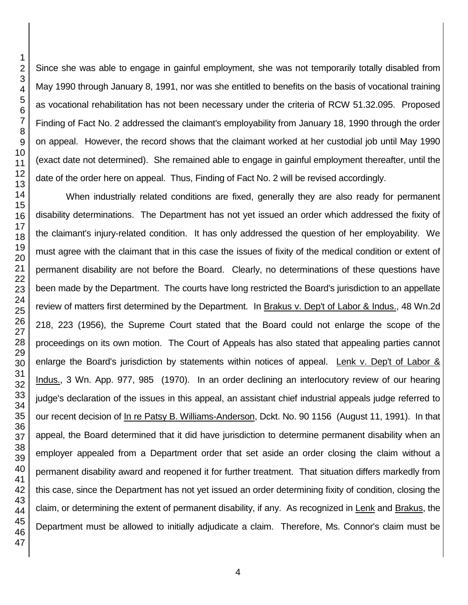Since she was able to engage in gainful employment, she was not temporarily totally disabled from May 1990 through January 8, 1991, nor was she entitled to benefits on the basis of vocational training as vocational rehabilitation has not been necessary under the criteria of RCW 51.32.095. Proposed Finding of Fact No. 2 addressed the claimant's employability from January 18, 1990 through the order on appeal. However, the record shows that the claimant worked at her custodial job until May 1990 (exact date not determined). She remained able to engage in gainful employment thereafter, until the date of the order here on appeal. Thus, Finding of Fact No. 2 will be revised accordingly.

When industrially related conditions are fixed, generally they are also ready for permanent disability determinations. The Department has not yet issued an order which addressed the fixity of the claimant's injury-related condition. It has only addressed the question of her employability. We must agree with the claimant that in this case the issues of fixity of the medical condition or extent of permanent disability are not before the Board. Clearly, no determinations of these questions have been made by the Department. The courts have long restricted the Board's jurisdiction to an appellate review of matters first determined by the Department. In Brakus v. Dep't of Labor & Indus., 48 Wn.2d 218, 223 (1956), the Supreme Court stated that the Board could not enlarge the scope of the proceedings on its own motion. The Court of Appeals has also stated that appealing parties cannot enlarge the Board's jurisdiction by statements within notices of appeal. Lenk v. Dep't of Labor & Indus., 3 Wn. App. 977, 985 (1970). In an order declining an interlocutory review of our hearing judge's declaration of the issues in this appeal, an assistant chief industrial appeals judge referred to our recent decision of In re Patsy B. Williams-Anderson, Dckt. No. 90 1156 (August 11, 1991). In that appeal, the Board determined that it did have jurisdiction to determine permanent disability when an employer appealed from a Department order that set aside an order closing the claim without a permanent disability award and reopened it for further treatment. That situation differs markedly from this case, since the Department has not yet issued an order determining fixity of condition, closing the claim, or determining the extent of permanent disability, if any. As recognized in Lenk and Brakus, the Department must be allowed to initially adjudicate a claim. Therefore, Ms. Connor's claim must be